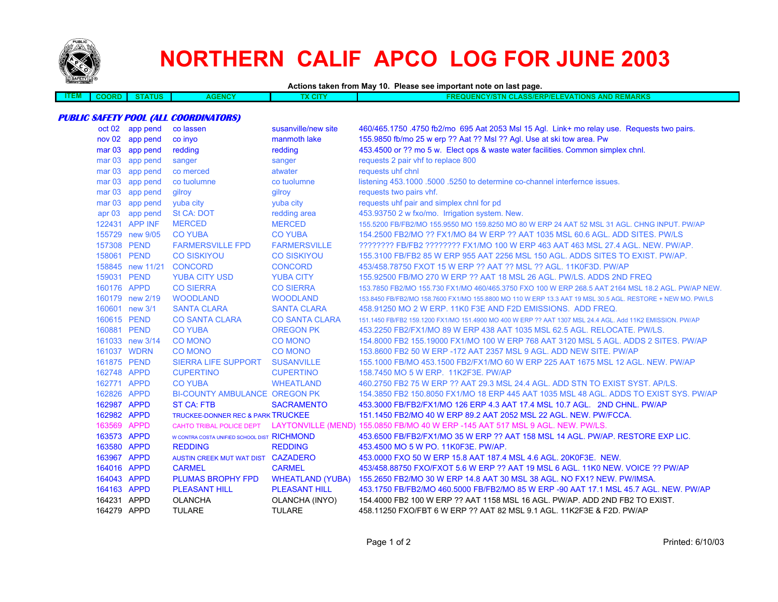

# **NORTHERN CALIF APCO LOG FOR JUNE 2003**

**Actions taken from May 10. Please see important note on last page.**

| ---<br>ITEM. | חאר | <b>TATUS</b> | acer | CIT | <b>TIONS AND REMARKS</b><br><b>COLIFNCY/ST</b><br><b>AIN CLASS/ERP/ELF</b><br>FVAT |
|--------------|-----|--------------|------|-----|------------------------------------------------------------------------------------|
|              |     |              |      |     |                                                                                    |

#### **PUBLIC SAFETY POOL (ALL COORDINATORS)**

|             | oct 02 app pend  | co lassen                                    | susanville/new site     | 460/465.1750 .4750 fb2/mo 695 Aat 2053 Msl 15 Agl. Link+ mo relay use. Requests two pairs.                 |
|-------------|------------------|----------------------------------------------|-------------------------|------------------------------------------------------------------------------------------------------------|
|             | nov 02 app pend  | co invo                                      | manmoth lake            | 155.9850 fb/mo 25 w erp ?? Aat ?? Msl ?? Agl. Use at ski tow area. Pw                                      |
|             | mar 03 app pend  | redding                                      | redding                 | 453.4500 or ?? mo 5 w. Elect ops & waste water facilities. Common simplex chnl.                            |
|             | mar 03 app pend  | sanger                                       | sanger                  | requests 2 pair vhf to replace 800                                                                         |
|             | mar 03 app pend  | co merced                                    | atwater                 | requests uhf chnl                                                                                          |
|             | mar 03 app pend  | co tuolumne                                  | co tuolumne             | listening 453.1000 .5000 .5250 to determine co-channel interfernce issues.                                 |
|             | mar 03 app pend  | gilroy                                       | gilroy                  | requests two pairs vhf.                                                                                    |
|             | mar 03 app pend  | yuba city                                    | yuba city               | requests uhf pair and simplex chnl for pd                                                                  |
|             | apr 03 app pend  | St CA: DOT                                   | redding area            | 453.93750 2 w fxo/mo. Irrigation system. New.                                                              |
|             | 122431 APP INF   | <b>MERCED</b>                                | <b>MERCED</b>           | 155.5200 FB/FB2/MO 155.9550 MO 159.8250 MO 80 W ERP 24 AAT 52 MSL 31 AGL. CHNG INPUT. PW/AP                |
|             | 155729 new 9/05  | <b>CO YUBA</b>                               | <b>CO YUBA</b>          | 154,2500 FB2/MO ?? FX1/MO 84 W ERP ?? AAT 1035 MSL 60.6 AGL, ADD SITES, PW/LS                              |
| 157308 PEND |                  | <b>FARMERSVILLE FPD</b>                      | <b>FARMERSVILLE</b>     | ???????? FB/FB2 ???????? FX1/MO 100 W ERP 463 AAT 463 MSL 27.4 AGL. NEW. PW/AP.                            |
| 158061 PEND |                  | <b>CO SISKIYOU</b>                           | <b>CO SISKIYOU</b>      | 155,3100 FB/FB2 85 W ERP 955 AAT 2256 MSL 150 AGL, ADDS SITES TO EXIST, PW/AP.                             |
|             | 158845 new 11/21 | <b>CONCORD</b>                               | <b>CONCORD</b>          | 453/458.78750 FXOT 15 W ERP ?? AAT ?? MSL ?? AGL. 11K0F3D. PW/AP                                           |
| 159031 PEND |                  | <b>YUBA CITY USD</b>                         | <b>YUBA CITY</b>        | 155.92500 FB/MO 270 W ERP ?? AAT 18 MSL 26 AGL. PW/LS. ADDS 2ND FREQ                                       |
| 160176 APPD |                  | <b>CO SIERRA</b>                             | <b>CO SIERRA</b>        | 153.7850 FB2/MO 155.730 FX1/MO 460/465.3750 FXO 100 W ERP 268.5 AAT 2164 MSL 18.2 AGL. PW/AP NEW.          |
|             | 160179 new 2/19  | <b>WOODLAND</b>                              | <b>WOODLAND</b>         | 153.8450 FB/FB2/MO 158.7600 FX1/MO 155.8800 MO 110 W ERP 13.3 AAT 19 MSL 30.5 AGL. RESTORE + NEW MO. PW/LS |
|             | 160601 new 3/1   | <b>SANTA CLARA</b>                           | <b>SANTA CLARA</b>      | 458,91250 MO 2 W ERP, 11K0 F3E AND F2D EMISSIONS. ADD FREQ.                                                |
| 160615 PEND |                  | <b>CO SANTA CLARA</b>                        | <b>CO SANTA CLARA</b>   | 151.1450 FB/FB2 159.1200 FX1/MO 151.4900 MO 400 W ERP ?? AAT 1307 MSL 24.4 AGL, Add 11K2 EMISSION, PW/AP   |
| 160881 PEND |                  | <b>CO YUBA</b>                               | <b>OREGON PK</b>        | 453.2250 FB2/FX1/MO 89 W ERP 438 AAT 1035 MSL 62.5 AGL. RELOCATE. PW/LS.                                   |
|             | 161033 new 3/14  | <b>CO MONO</b>                               | <b>CO MONO</b>          | 154.8000 FB2 155.19000 FX1/MO 100 W ERP 768 AAT 3120 MSL 5 AGL. ADDS 2 SITES. PW/AP                        |
|             | 161037 WDRN      | <b>CO MONO</b>                               | <b>CO MONO</b>          | 153,8600 FB2 50 W ERP -172 AAT 2357 MSL 9 AGL, ADD NEW SITE, PW/AP                                         |
| 161875 PEND |                  | <b>SIERRA LIFE SUPPORT</b>                   | <b>SUSANVILLE</b>       | 155.1000 FB/MO 453.1500 FB2/FX1/MO 60 W ERP 225 AAT 1675 MSL 12 AGL, NEW, PW/AP                            |
| 162748 APPD |                  | <b>CUPERTINO</b>                             | <b>CUPERTINO</b>        | 158,7450 MO 5 W ERP. 11K2F3E, PW/AP                                                                        |
| 162771 APPD |                  | <b>CO YUBA</b>                               | <b>WHEATLAND</b>        | 460.2750 FB2 75 W ERP ?? AAT 29.3 MSL 24.4 AGL, ADD STN TO EXIST SYST, AP/LS.                              |
| 162826 APPD |                  | <b>BI-COUNTY AMBULANCE OREGON PK</b>         |                         | 154,3850 FB2 150,8050 FX1/MO 18 ERP 445 AAT 1035 MSL 48 AGL. ADDS TO EXIST SYS, PW/AP                      |
| 162987 APPD |                  | <b>ST CA: FTB</b>                            | <b>SACRAMENTO</b>       | 453.3000 FB/FB2/FX1/MO 126 ERP 4.3 AAT 17.4 MSL 10.7 AGL. 2ND CHNL. PW/AP                                  |
| 162982 APPD |                  | <b>TRUCKEE-DONNER REC &amp; PARK TRUCKEE</b> |                         | 151.1450 FB2/MO 40 W ERP 89.2 AAT 2052 MSL 22 AGL. NEW. PW/FCCA.                                           |
| 163569 APPD |                  | CAHTO TRIBAL POLICE DEPT                     |                         | LAYTONVILLE (MEND) 155.0850 FB/MO 40 W ERP -145 AAT 517 MSL 9 AGL. NEW. PW/LS.                             |
| 163573 APPD |                  | W CONTRA COSTA UNIFIED SCHOOL DIST RICHMOND  |                         | 453,6500 FB/FB2/FX1/MO 35 W ERP ?? AAT 158 MSL 14 AGL, PW/AP, RESTORE EXP LIC.                             |
| 163580 APPD |                  | <b>REDDING</b>                               | <b>REDDING</b>          | 453.4500 MO 5 W PO. 11K0F3E. PW/AP.                                                                        |
| 163967 APPD |                  | AUSTIN CREEK MUT WAT DIST CAZADERO           |                         | 453.0000 FXO 50 W ERP 15.8 AAT 187.4 MSL 4.6 AGL. 20K0F3E. NEW.                                            |
| 164016 APPD |                  | <b>CARMEL</b>                                | <b>CARMEL</b>           | 453/458.88750 FXO/FXOT 5.6 W ERP ?? AAT 19 MSL 6 AGL, 11K0 NEW, VOICE ?? PW/AP                             |
| 164043 APPD |                  | <b>PLUMAS BROPHY FPD</b>                     | <b>WHEATLAND (YUBA)</b> | 155,2650 FB2/MO 30 W ERP 14.8 AAT 30 MSL 38 AGL, NO FX1? NEW, PW/IMSA.                                     |
| 164163 APPD |                  | <b>PLEASANT HILL</b>                         | <b>PLEASANT HILL</b>    | 453.1750 FB/FB2/MO 460.5000 FB/FB2/MO 85 W ERP -90 AAT 17.1 MSL 45.7 AGL. NEW. PW/AP                       |
| 164231 APPD |                  | <b>OLANCHA</b>                               | OLANCHA (INYO)          | 154,4000 FB2 100 W ERP ?? AAT 1158 MSL 16 AGL, PW/AP, ADD 2ND FB2 TO EXIST.                                |
| 164279 APPD |                  | <b>TULARE</b>                                | <b>TULARE</b>           | 458.11250 FXO/FBT 6 W ERP ?? AAT 82 MSL 9.1 AGL, 11K2F3E & F2D, PW/AP                                      |